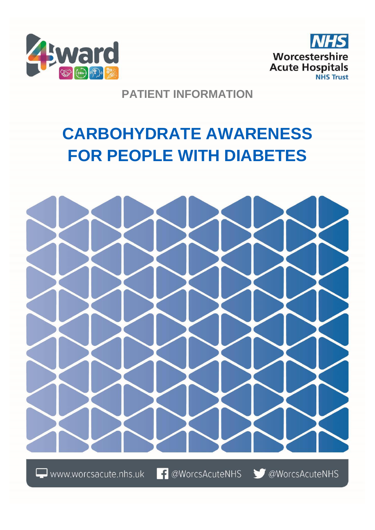



## **PATIENT INFORMATION**

# **CARBOHYDRATE AWARENESS FOR PEOPLE WITH DIABETES**



 $\Box$  www.worcsacute.nhs.uk

**f** @WorcsAcuteNHS

OWorcsAcuteNHS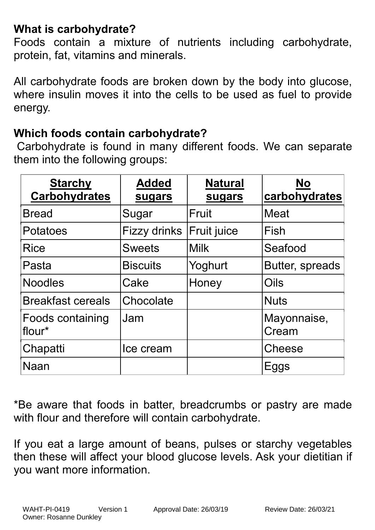# **What is carbohydrate?**

Foods contain a mixture of nutrients including carbohydrate, protein, fat, vitamins and minerals.

All carbohydrate foods are broken down by the body into glucose, where insulin moves it into the cells to be used as fuel to provide energy.

### **Which foods contain carbohydrate?**

Carbohydrate is found in many different foods. We can separate them into the following groups:

| <b>Starchy</b><br><b>Carbohydrates</b> | <b>Added</b><br>sugars | <b>Natural</b><br>sugars | <b>No</b><br>carbohydrates |
|----------------------------------------|------------------------|--------------------------|----------------------------|
| <b>Bread</b>                           | Sugar                  | Fruit                    | <b>Meat</b>                |
| Potatoes                               | Fizzy drinks           | <b>Fruit juice</b>       | Fish                       |
| <b>Rice</b>                            | <b>Sweets</b>          | <b>Milk</b>              | Seafood                    |
| Pasta                                  | <b>Biscuits</b>        | Yoghurt                  | Butter, spreads            |
| <b>Noodles</b>                         | Cake                   | Honey                    | Oils                       |
| <b>Breakfast cereals</b>               | Chocolate              |                          | <b>Nuts</b>                |
| Foods containing<br>flour*             | Jam                    |                          | Mayonnaise,<br>Cream       |
| Chapatti                               | Ice cream              |                          | <b>Cheese</b>              |
| Naan                                   |                        |                          | Eggs                       |

\*Be aware that foods in batter, breadcrumbs or pastry are made with flour and therefore will contain carbohydrate.

If you eat a large amount of beans, pulses or starchy vegetables then these will affect your blood glucose levels. Ask your dietitian if you want more information.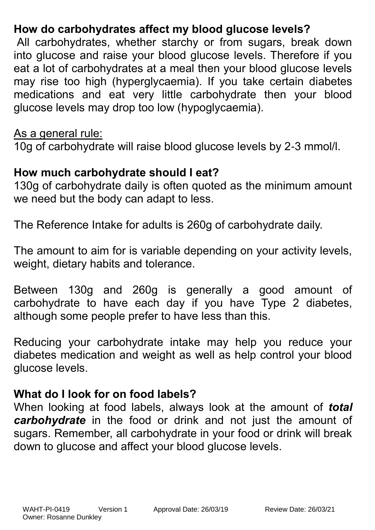# **How do carbohydrates affect my blood glucose levels?**

All carbohydrates, whether starchy or from sugars, break down into glucose and raise your blood glucose levels. Therefore if you eat a lot of carbohydrates at a meal then your blood glucose levels may rise too high (hyperglycaemia). If you take certain diabetes medications and eat very little carbohydrate then your blood glucose levels may drop too low (hypoglycaemia).

#### As a general rule:

10g of carbohydrate will raise blood glucose levels by 2-3 mmol/l.

# **How much carbohydrate should I eat?**

130g of carbohydrate daily is often quoted as the minimum amount we need but the body can adapt to less.

The Reference Intake for adults is 260g of carbohydrate daily.

The amount to aim for is variable depending on your activity levels, weight, dietary habits and tolerance.

Between 130g and 260g is generally a good amount of carbohydrate to have each day if you have Type 2 diabetes, although some people prefer to have less than this.

Reducing your carbohydrate intake may help you reduce your diabetes medication and weight as well as help control your blood glucose levels.

### **What do I look for on food labels?**

When looking at food labels, always look at the amount of *total carbohydrate* in the food or drink and not just the amount of sugars. Remember, all carbohydrate in your food or drink will break down to glucose and affect your blood glucose levels.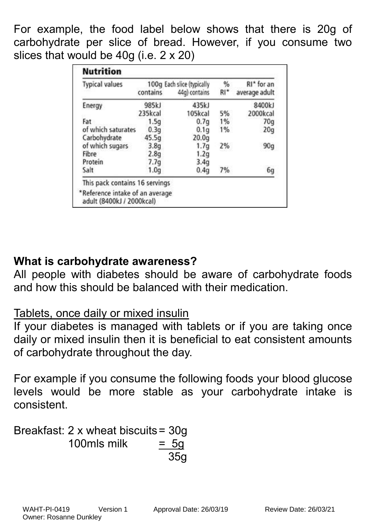For example, the food label below shows that there is 20g of carbohydrate per slice of bread. However, if you consume two slices that would be 40g (i.e. 2 x 20)

| <b>Typical values</b> | contains | 100g Each slice (typically<br>44g) contains | %<br>$R1*$ | RI* for an<br>average adult |
|-----------------------|----------|---------------------------------------------|------------|-----------------------------|
| Energy                | 985kJ    | 435kJ                                       |            | 8400kJ                      |
|                       | 235kcal  | 105kcal                                     | 5%         | 2000kcal                    |
| Fat                   | 1.5q     | 0.7q                                        | 1%         | 70q                         |
| of which saturates    | 0.3q     | 0.1q                                        | 1%         | 20q                         |
| Carbohydrate          | 45.5q    | 20.0q                                       |            |                             |
| of which sugars       | 3.8q     | 1.7g                                        | 2%         | 90q                         |
| Fibre                 | 2.8q     | 1.2g                                        |            |                             |
| Protein               | 7.7q     | 3.4q                                        |            |                             |
| Salt                  | 1.0q     | 0.4q                                        | 7%         | 6g                          |

# **What is carbohydrate awareness?**

All people with diabetes should be aware of carbohydrate foods and how this should be balanced with their medication.

## Tablets, once daily or mixed insulin

If your diabetes is managed with tablets or if you are taking once daily or mixed insulin then it is beneficial to eat consistent amounts of carbohydrate throughout the day.

For example if you consume the following foods your blood glucose levels would be more stable as your carbohydrate intake is consistent.

Breakfast: 2 x wheat biscuits= 30g  $100$ mls milk  $= 5a$ 35g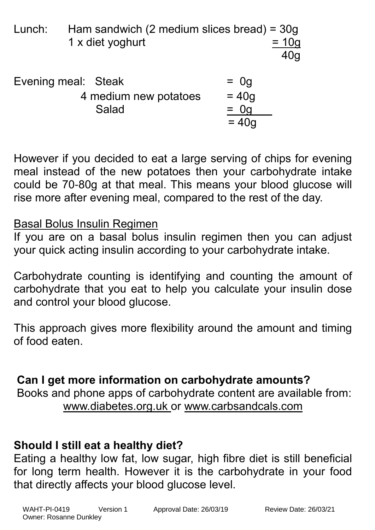| Lunch: | Ham sandwich (2 medium slices bread) = $30g$<br>1 x diet yoghurt | $= 10g$<br>40 <sub>q</sub>             |
|--------|------------------------------------------------------------------|----------------------------------------|
|        | Evening meal: Steak<br>4 medium new potatoes<br>Salad            | $=$ 0g<br>$= 40g$<br>$=$ 0g<br>$= 40a$ |

However if you decided to eat a large serving of chips for evening meal instead of the new potatoes then your carbohydrate intake could be 70-80g at that meal. This means your blood glucose will rise more after evening meal, compared to the rest of the day.

### Basal Bolus Insulin Regimen

If you are on a basal bolus insulin regimen then you can adjust your quick acting insulin according to your carbohydrate intake.

Carbohydrate counting is identifying and counting the amount of carbohydrate that you eat to help you calculate your insulin dose and control your blood glucose.

This approach gives more flexibility around the amount and timing of food eaten.

## **Can I get more information on carbohydrate amounts?**

Books and phone apps of carbohydrate content are available from: www.diabetes.org.uk or www.carbsandcals.com

# **Should I still eat a healthy diet?**

Eating a healthy low fat, low sugar, high fibre diet is still beneficial for long term health. However it is the carbohydrate in your food that directly affects your blood glucose level.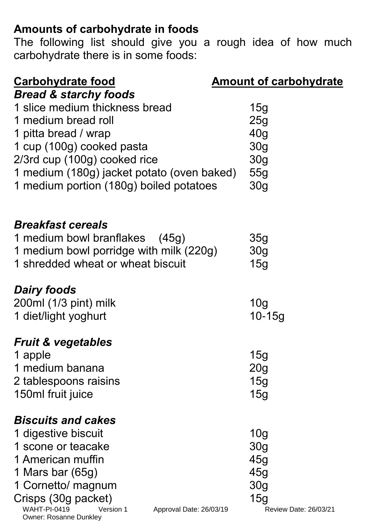# **Amounts of carbohydrate in foods**

The following list should give you a rough idea of how much carbohydrate there is in some foods:

| Carbohydrate food                                                                            | <b>Amount of carbohydrate</b> |
|----------------------------------------------------------------------------------------------|-------------------------------|
| <b>Bread &amp; starchy foods</b>                                                             |                               |
| 1 slice medium thickness bread                                                               | 15g                           |
| 1 medium bread roll                                                                          | 25g                           |
| 1 pitta bread / wrap                                                                         | 40g                           |
| 1 cup (100g) cooked pasta                                                                    | 30 <sub>g</sub>               |
| 2/3rd cup (100g) cooked rice                                                                 | 30 <sub>g</sub>               |
| 1 medium (180g) jacket potato (oven baked)                                                   | 55g                           |
| 1 medium portion (180g) boiled potatoes                                                      | 30 <sub>g</sub>               |
| <b>Breakfast cereals</b>                                                                     |                               |
| 1 medium bowl branflakes (45g)                                                               | 35g                           |
| 1 medium bowl porridge with milk (220g)                                                      | 30 <sub>g</sub>               |
| 1 shredded wheat or wheat biscuit                                                            | 15g                           |
| <b>Dairy foods</b>                                                                           |                               |
| $200ml$ (1/3 pint) milk                                                                      | 10 <sub>g</sub>               |
| 1 diet/light yoghurt                                                                         | $10 - 15g$                    |
| <b>Fruit &amp; vegetables</b>                                                                |                               |
| 1 apple                                                                                      | 15g                           |
| 1 medium banana                                                                              | 20 <sub>g</sub>               |
| 2 tablespoons raisins                                                                        | 15g                           |
| 150ml fruit juice                                                                            | <b>15g</b>                    |
| <i><b>Biscuits and cakes</b></i>                                                             |                               |
| 1 digestive biscuit                                                                          | 10 <sub>g</sub>               |
| 1 scone or teacake                                                                           | 30 <sub>q</sub>               |
| 1 American muffin                                                                            | 45g                           |
| 1 Mars bar $(65g)$                                                                           | 45g                           |
| 1 Cornetto/ magnum                                                                           | 30 <sub>g</sub>               |
| Crisps (30g packet)                                                                          | 15g                           |
| <b>WAHT-PI-0419</b><br>Version 1<br>Approval Date: 26/03/19<br><b>Owner: Rosanne Dunkley</b> | Review Date: 26/03/21         |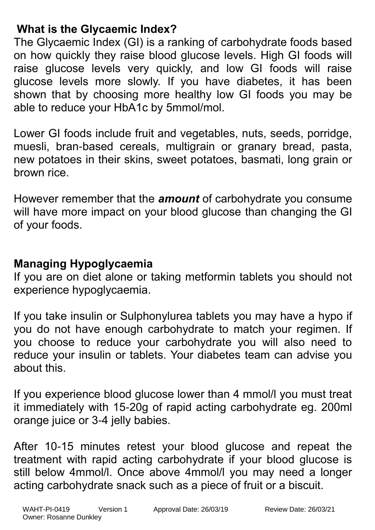# **What is the Glycaemic Index?**

The Glycaemic Index (GI) is a ranking of carbohydrate foods based on how quickly they raise blood glucose levels. High GI foods will raise glucose levels very quickly, and low GI foods will raise glucose levels more slowly. If you have diabetes, it has been shown that by choosing more healthy low GI foods you may be able to reduce your HbA1c by 5mmol/mol.

Lower GI foods include fruit and vegetables, nuts, seeds, porridge, muesli, bran-based cereals, multigrain or granary bread, pasta, new potatoes in their skins, sweet potatoes, basmati, long grain or brown rice.

However remember that the *amount* of carbohydrate you consume will have more impact on your blood glucose than changing the GI of your foods.

# **Managing Hypoglycaemia**

If you are on diet alone or taking metformin tablets you should not experience hypoglycaemia.

If you take insulin or Sulphonylurea tablets you may have a hypo if you do not have enough carbohydrate to match your regimen. If you choose to reduce your carbohydrate you will also need to reduce your insulin or tablets. Your diabetes team can advise you about this.

If you experience blood glucose lower than 4 mmol/l you must treat it immediately with 15-20g of rapid acting carbohydrate eg. 200ml orange juice or 3-4 jelly babies.

After 10-15 minutes retest your blood glucose and repeat the treatment with rapid acting carbohydrate if your blood glucose is still below 4mmol/l. Once above 4mmol/l you may need a longer acting carbohydrate snack such as a piece of fruit or a biscuit.